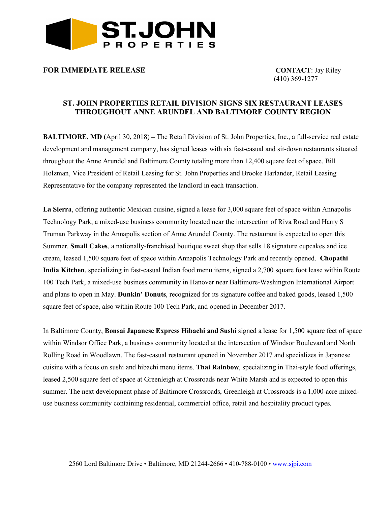

## **FOR IMMEDIATE RELEASE CONTACT**: Jay Riley

(410) 369-1277

## **ST. JOHN PROPERTIES RETAIL DIVISION SIGNS SIX RESTAURANT LEASES THROUGHOUT ANNE ARUNDEL AND BALTIMORE COUNTY REGION**

**BALTIMORE, MD (**April 30, 2018) **–** The Retail Division of St. John Properties, Inc., a full-service real estate development and management company, has signed leases with six fast-casual and sit-down restaurants situated throughout the Anne Arundel and Baltimore County totaling more than 12,400 square feet of space. Bill Holzman, Vice President of Retail Leasing for St. John Properties and Brooke Harlander, Retail Leasing Representative for the company represented the landlord in each transaction.

**La Sierra**, offering authentic Mexican cuisine, signed a lease for 3,000 square feet of space within Annapolis Technology Park, a mixed-use business community located near the intersection of Riva Road and Harry S Truman Parkway in the Annapolis section of Anne Arundel County. The restaurant is expected to open this Summer. **Small Cakes**, a nationally-franchised boutique sweet shop that sells 18 signature cupcakes and ice cream, leased 1,500 square feet of space within Annapolis Technology Park and recently opened. **Chopathi India Kitchen**, specializing in fast-casual Indian food menu items, signed a 2,700 square foot lease within Route 100 Tech Park, a mixed-use business community in Hanover near Baltimore-Washington International Airport and plans to open in May. **Dunkin' Donuts**, recognized for its signature coffee and baked goods, leased 1,500 square feet of space, also within Route 100 Tech Park, and opened in December 2017.

In Baltimore County, **Bonsai Japanese Express Hibachi and Sushi** signed a lease for 1,500 square feet of space within Windsor Office Park, a business community located at the intersection of Windsor Boulevard and North Rolling Road in Woodlawn. The fast-casual restaurant opened in November 2017 and specializes in Japanese cuisine with a focus on sushi and hibachi menu items. **Thai Rainbow**, specializing in Thai-style food offerings, leased 2,500 square feet of space at Greenleigh at Crossroads near White Marsh and is expected to open this summer. The next development phase of Baltimore Crossroads, Greenleigh at Crossroads is a 1,000-acre mixeduse business community containing residential, commercial office, retail and hospitality product types.